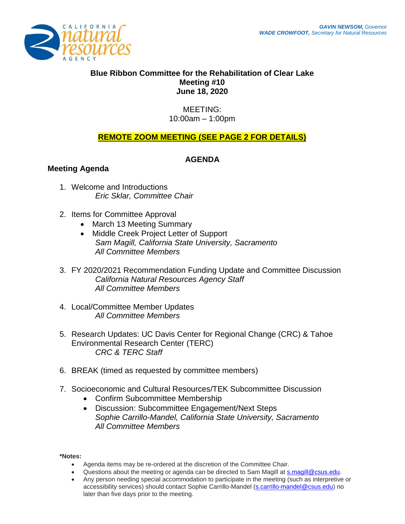

### **Blue Ribbon Committee for the Rehabilitation of Clear Lake Meeting #10 June 18, 2020**

### MEETING: 10:00am – 1:00pm

# **REMOTE ZOOM MEETING (SEE PAGE 2 FOR DETAILS)**

### **AGENDA**

#### **Meeting Agenda**

- 1. Welcome and Introductions *Eric Sklar, Committee Chair*
- 2. Items for Committee Approval
	- March 13 Meeting Summary
	- Middle Creek Project Letter of Support *Sam Magill, California State University, Sacramento All Committee Members*
- 3. FY 2020/2021 Recommendation Funding Update and Committee Discussion *California Natural Resources Agency Staff All Committee Members*
- 4. Local/Committee Member Updates *All Committee Members*
- 5. Research Updates: UC Davis Center for Regional Change (CRC) & Tahoe Environmental Research Center (TERC) *CRC & TERC Staff*
- 6. BREAK (timed as requested by committee members)
- 7. Socioeconomic and Cultural Resources/TEK Subcommittee Discussion
	- Confirm Subcommittee Membership
	- Discussion: Subcommittee Engagement/Next Steps *Sophie Carrillo-Mandel, California State University, Sacramento All Committee Members*

**\*Notes:** 

- Agenda items may be re-ordered at the discretion of the Committee Chair.
- . Questions about the meeting or agenda can be directed to Sam Magill at **s.magill@csus.edu.**
- Any person needing special accommodation to participate in the meeting (such as interpretive or accessibility services) should contact Sophie Carrillo-Mandel [\(s.carrillo-mandel@csus.edu\)](mailto:s.carrillo-mandel@csus.edu) no later than five days prior to the meeting.